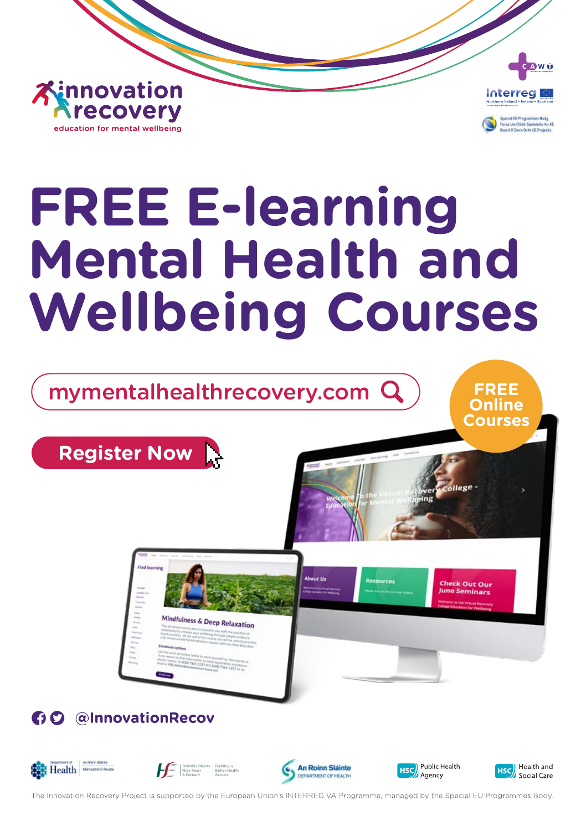



# **FREE E-learning Mental Health and Wellbeing Courses**

mymentalhealthrecovery.com

**Online Courses**

**Register Now**



# **60 @InnovationRecov**











The Innovation Recovery Project is supported by the European Union's INTERREG VA Programme, managed by the Special EU Programmes Body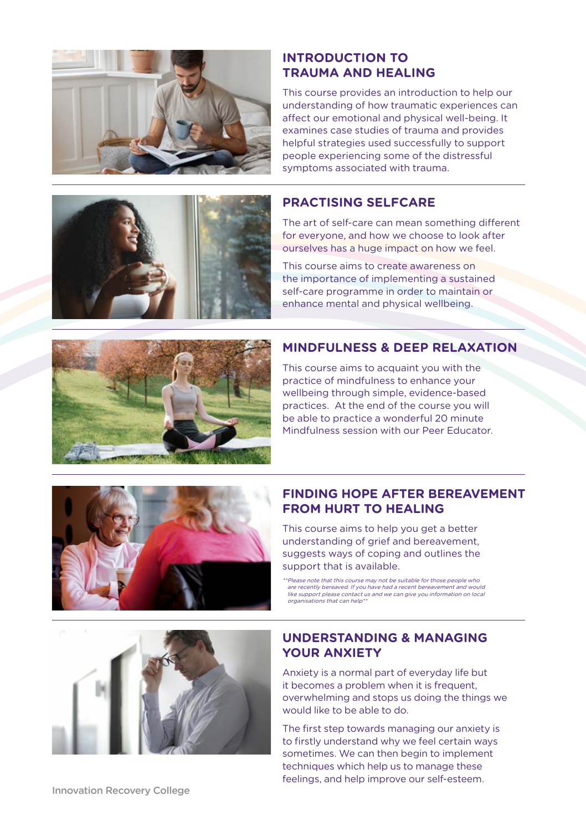

#### **INTRODUCTION TO TRAUMA AND HEALING**

This course provides an introduction to help our understanding of how traumatic experiences can affect our emotional and physical well-being. It examines case studies of trauma and provides helpful strategies used successfully to support people experiencing some of the distressful symptoms associated with trauma.

#### **PRACTISING SELFCARE**

The art of self-care can mean something different for everyone, and how we choose to look after ourselves has a huge impact on how we feel.

This course aims to create awareness on the importance of implementing a sustained self-care programme in order to maintain or enhance mental and physical wellbeing.

#### **MINDFULNESS & DEEP RELAXATION**



This course aims to acquaint you with the practice of mindfulness to enhance your wellbeing through simple, evidence-based practices. At the end of the course you will be able to practice a wonderful 20 minute Mindfulness session with our Peer Educator.

## **FINDING HOPE AFTER BEREAVEMENT FROM HURT TO HEALING**

This course aims to help you get a better understanding of grief and bereavement, suggests ways of coping and outlines the support that is available.

\*\*Please note that this course may not be suitable for those people who are recently bereaved. If you have had a recent bereavement and would like support please contact us and we can give you information on local organisations that can help\*\*

#### **UNDERSTANDING & MANAGING YOUR ANXIETY**

Anxiety is a normal part of everyday life but it becomes a problem when it is frequent, overwhelming and stops us doing the things we would like to be able to do.

The first step towards managing our anxiety is to firstly understand why we feel certain ways sometimes. We can then begin to implement techniques which help us to manage these feelings, and help improve our self-esteem.



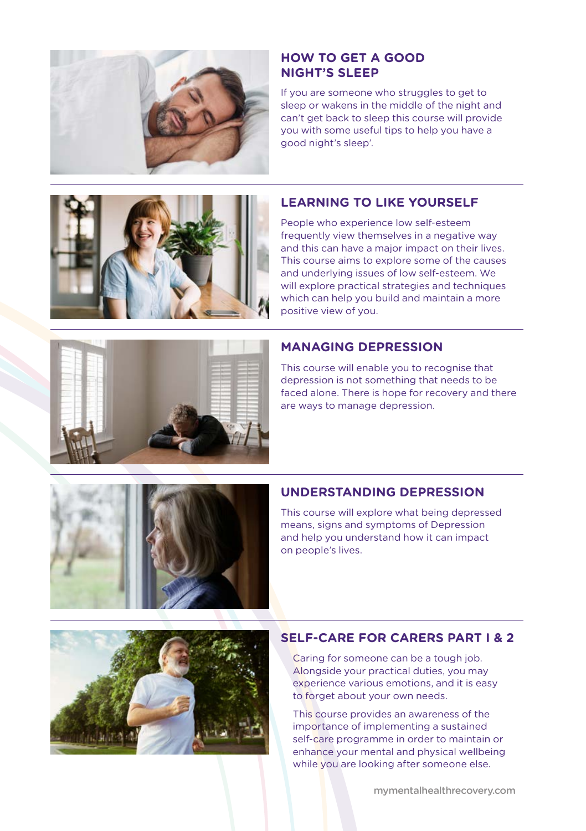

#### **HOW TO GET A GOOD NIGHT'S SLEEP**

If you are someone who struggles to get to sleep or wakens in the middle of the night and can't get back to sleep this course will provide you with some useful tips to help you have a good night's sleep'.

# **LEARNING TO LIKE YOURSELF**

People who experience low self-esteem frequently view themselves in a negative way and this can have a major impact on their lives. This course aims to explore some of the causes and underlying issues of low self-esteem. We will explore practical strategies and techniques which can help you build and maintain a more positive view of you.

### **MANAGING DEPRESSION**

This course will enable you to recognise that depression is not something that needs to be faced alone. There is hope for recovery and there are ways to manage depression.

#### **UNDERSTANDING DEPRESSION**

This course will explore what being depressed means, signs and symptoms of Depression and help you understand how it can impact on people's lives.



#### **SELF-CARE FOR CARERS PART I & 2**

Caring for someone can be a tough job. Alongside your practical duties, you may experience various emotions, and it is easy to forget about your own needs.

This course provides an awareness of the importance of implementing a sustained self-care programme in order to maintain or enhance your mental and physical wellbeing while you are looking after someone else.